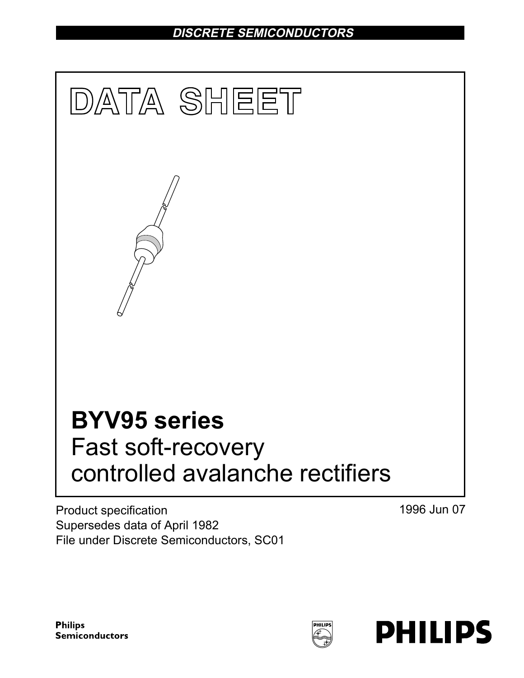DISCRETE SEMICONDUCTORS



Product specification Supersedes data of April 1982 File under Discrete Semiconductors, SC01

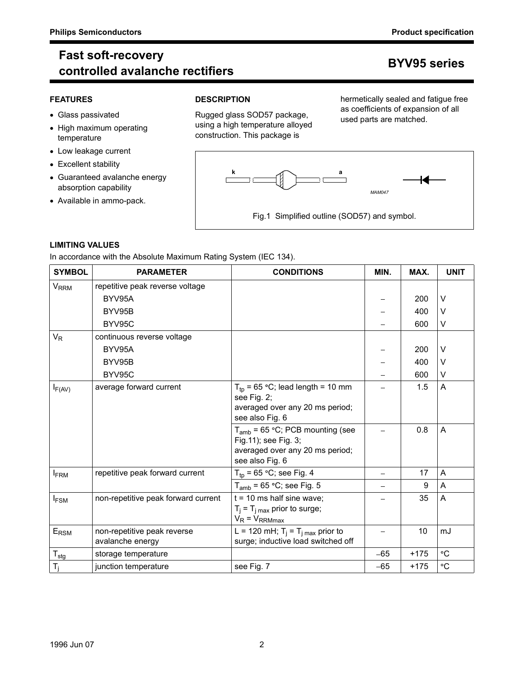# Philips Semiconductors<br>
Fast soft-recovery<br>
controlled avalanche rectifiers<br>
Product specification<br>
BYV95 series Fast soft-recovery r det sont recovery<br>controlled avalanche rectifiers in the controlled avalanche rectifiers

- 
- High maximum operating temperature
- Low leakage current
- Excellent stability
- Guaranteed avalanche energy  $\begin{array}{ccc} \hline \text{C} & \text{C} & \text{C} \end{array}$ absorption capability
- Available in ammo-pack.

## FEATURES DESCRIPTION



## LIMITING VALUES

|                                                      | controlled avalanche rectifiers                                                                              |                                                                                                                        |                                                                                                        |                  | <b>BYV95 series</b>     |
|------------------------------------------------------|--------------------------------------------------------------------------------------------------------------|------------------------------------------------------------------------------------------------------------------------|--------------------------------------------------------------------------------------------------------|------------------|-------------------------|
| <b>FEATURES</b><br>• Glass passivated<br>temperature | • High maximum operating                                                                                     | <b>DESCRIPTION</b><br>Rugged glass SOD57 package,<br>using a high temperature alloyed<br>construction. This package is | hermetically sealed and fatigue free<br>as coefficients of expansion of all<br>used parts are matched. |                  |                         |
| • Excellent stability                                | • Low leakage current<br>• Guaranteed avalanche energy<br>absorption capability<br>• Available in ammo-pack. | Fig.1 Simplified outline (SOD57) and symbol.                                                                           | <b>MAM047</b>                                                                                          |                  |                         |
| <b>LIMITING VALUES</b>                               |                                                                                                              |                                                                                                                        |                                                                                                        |                  |                         |
|                                                      | In accordance with the Absolute Maximum Rating System (IEC 134).                                             |                                                                                                                        |                                                                                                        |                  |                         |
| <b>SYMBOL</b>                                        | <b>PARAMETER</b>                                                                                             | <b>CONDITIONS</b>                                                                                                      | MIN.                                                                                                   | MAX.             | <b>UNIT</b>             |
| <b>V<sub>RRM</sub></b>                               | repetitive peak reverse voltage                                                                              |                                                                                                                        |                                                                                                        |                  |                         |
|                                                      | BYV95A                                                                                                       |                                                                                                                        | $\overline{\phantom{0}}$                                                                               | 200              | V                       |
|                                                      | BYV95B                                                                                                       |                                                                                                                        | $\overline{\phantom{0}}$                                                                               | 400              | V                       |
|                                                      | BYV95C                                                                                                       |                                                                                                                        |                                                                                                        | 600              | V                       |
| $V_R$                                                | continuous reverse voltage                                                                                   |                                                                                                                        |                                                                                                        |                  |                         |
|                                                      | BYV95A<br>BYV95B                                                                                             |                                                                                                                        | —                                                                                                      | 200<br>400       | V<br>V                  |
|                                                      | BYV95C                                                                                                       |                                                                                                                        |                                                                                                        | 600              | V                       |
|                                                      |                                                                                                              | $T_{\text{tp}}$ = 65 °C; lead length = 10 mm                                                                           | -                                                                                                      | 1.5              | Α                       |
| $I_{F(AV)}$                                          | average forward current                                                                                      | see Fig. 2;<br>averaged over any 20 ms period;<br>see also Fig. 6                                                      |                                                                                                        |                  |                         |
|                                                      |                                                                                                              | $T_{amb}$ = 65 °C; PCB mounting (see<br>Fig.11); see Fig. 3;<br>averaged over any 20 ms period;<br>see also Fig. 6     | $\blacksquare$                                                                                         | 0.8              | $\overline{\mathsf{A}}$ |
|                                                      | repetitive peak forward current                                                                              | $T_{tp}$ = 65 °C; see Fig. 4                                                                                           | $\overline{\phantom{0}}$                                                                               | 17               | A                       |
| $I_{FRM}$                                            |                                                                                                              | $T_{amb}$ = 65 °C; see Fig. 5                                                                                          | $\overline{\phantom{0}}$                                                                               | $\boldsymbol{9}$ | A                       |
| $I_{FSM}$                                            | non-repetitive peak forward current                                                                          | $t = 10$ ms half sine wave;                                                                                            | -                                                                                                      | 35               | Α                       |
|                                                      |                                                                                                              | $T_i = T_{i \text{ max}}$ prior to surge;<br>$V_R = V_{RRMmax}$                                                        |                                                                                                        |                  |                         |
| $E_{\rm RSM}$                                        | non-repetitive peak reverse<br>avalanche energy                                                              | L = 120 mH; $T_j = T_{j \text{ max}}$ prior to<br>surge; inductive load switched off                                   | -                                                                                                      | 10               | mJ                      |
| $T_{\text{stg}}$                                     | storage temperature                                                                                          |                                                                                                                        | $-65$                                                                                                  | $+175$           | $^\circ \text{C}$       |
| $T_j$                                                | junction temperature                                                                                         | see Fig. 7                                                                                                             | $-65$                                                                                                  | $+175$           | $^\circ \text{C}$       |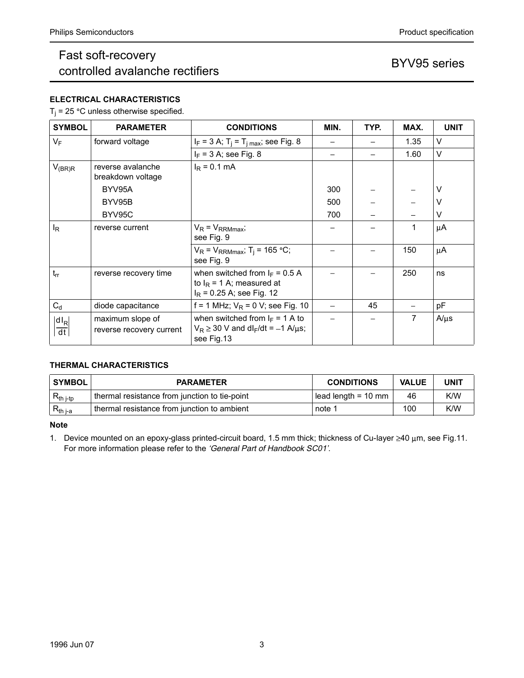# Philips Semiconductors<br>
Fast soft-recovery<br>
controlled avalanche rectifiers<br>
Product specification<br>
BYV95 series Fast soft-recovery r ast soft-recovery<br>controlled avalanche rectifiers and the series BYV95 series

## ELECTRICAL CHARACTERISTICS

|                                                                       | <b>Philips Semiconductors</b>                                                  |                                                                                                            |                               |                          | Product specification    |             |
|-----------------------------------------------------------------------|--------------------------------------------------------------------------------|------------------------------------------------------------------------------------------------------------|-------------------------------|--------------------------|--------------------------|-------------|
|                                                                       | Fast soft-recovery<br>controlled avalanche rectifiers                          |                                                                                                            |                               |                          | BYV95 series             |             |
|                                                                       | <b>ELECTRICAL CHARACTERISTICS</b><br>$T_i$ = 25 °C unless otherwise specified. |                                                                                                            |                               |                          |                          |             |
| <b>SYMBOL</b>                                                         | <b>PARAMETER</b>                                                               | <b>CONDITIONS</b>                                                                                          | MIN.                          | TYP.                     | MAX.                     | <b>UNIT</b> |
| $V_F$                                                                 | forward voltage                                                                | $I_F = 3$ A; T <sub>j</sub> = T <sub>j max</sub> ; see Fig. 8                                              | $\overline{\phantom{m}}$      | $\overline{\phantom{m}}$ | 1.35                     | V           |
|                                                                       |                                                                                | $I_F$ = 3 A; see Fig. 8                                                                                    | $\overline{\phantom{0}}$      | $\equiv$                 | 1.60                     | V           |
| $V_{(BR)R}$                                                           | reverse avalanche                                                              | $I_R = 0.1$ mA                                                                                             |                               |                          |                          |             |
|                                                                       | breakdown voltage                                                              |                                                                                                            |                               |                          |                          |             |
|                                                                       | BYV95A<br>BYV95B                                                               |                                                                                                            | 300<br>500                    |                          |                          | V<br>V      |
|                                                                       | BYV95C                                                                         |                                                                                                            | 700                           |                          | $\overline{\phantom{0}}$ | V           |
| $I_R$                                                                 | reverse current                                                                | $V_R = V_{RRMmax}$                                                                                         | $\overline{\phantom{0}}$      |                          | $\mathbf 1$              | $\mu$ A     |
|                                                                       |                                                                                | see Fig. 9                                                                                                 |                               |                          |                          |             |
|                                                                       |                                                                                | $V_R$ = $V_{RRMmax}$ ; T <sub>j</sub> = 165 °C;<br>see Fig. 9                                              | $\qquad \qquad -$             | $\overline{\phantom{0}}$ | 150                      | $\mu$ A     |
| $\vert$ trr                                                           | reverse recovery time                                                          | when switched from $I_F = 0.5 A$<br>to $I_R$ = 1 A; measured at<br>$I_R$ = 0.25 A; see Fig. 12             |                               |                          | 250                      | ns          |
| $\mathrm{C}_\mathrm{d}$                                               | diode capacitance                                                              | f = 1 MHz; $V_R$ = 0 V; see Fig. 10                                                                        | $\overline{\phantom{m}}$      | 45                       | $\overline{\phantom{m}}$ | pF          |
| $\left \frac{\mathsf{dI}_{\mathsf{R}}}{\mathsf{d} \mathsf{t}}\right $ | maximum slope of<br>reverse recovery current                                   | when switched from $I_F = 1$ A to<br>$V_R \ge 30$ V and dl <sub>F</sub> /dt = -1 A/ $\mu$ s;<br>see Fig.13 | $\equiv$                      |                          | $\overline{7}$           | $A/\mu s$   |
|                                                                       | THERMAL CHARACTERISTICS                                                        |                                                                                                            |                               |                          |                          |             |
| <b>SYMBOL</b>                                                         |                                                                                | <b>PARAMETER</b>                                                                                           | <b>CONDITIONS</b>             |                          | <b>VALUE</b>             | <b>UNIT</b> |
| $R_{\text{th }j\text{-tp}}$                                           | thermal resistance from junction to tie-point                                  |                                                                                                            | lead length = $10 \text{ mm}$ |                          | 46                       | K/W         |
| $R_{th j-a}$                                                          | thermal resistance from junction to ambient                                    |                                                                                                            | note 1                        |                          | 100                      | K/W         |

## THERMAL CHARACTERISTICS

| <b>SYMBOL</b>  | <b>PARAMETER</b>                              | <b>CONDITIONS</b>           | <b>VALUE</b> | <b>UNIT</b> |
|----------------|-----------------------------------------------|-----------------------------|--------------|-------------|
| $R_{th\ j-tp}$ | thermal resistance from junction to tie-point | $\vert$ lead length = 10 mm | 46           | K/W         |
| $R_{th\,j-a}$  | thermal resistance from junction to ambient   | note 1                      | 100          | K/W         |

## Note

Note<br>
1. Device mounted on an epoxy-glass printed-circuit board, 1.5 mm thick; thickness of Cu-layer ≥40 µm, see Fig.11.<br>
For more information please refer to the *'General Part of Handbook SC01'*.<br>
1996 Jun 07<br>
3 For more information please refer to the 'General Part of Handbook SC01'.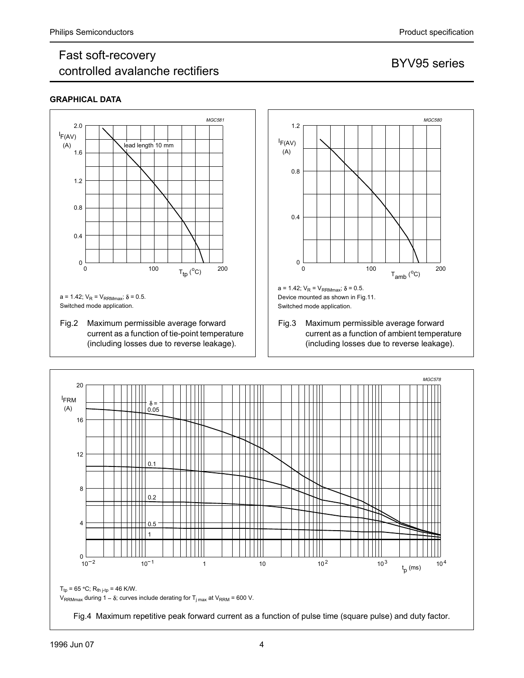# Philips Semiconductors<br>
Fast soft-recovery<br>
controlled avalanche rectifiers<br>
Product specification<br>
BYV95 series Fast soft-recovery r det son recovery<br>controlled avalanche rectifiers and the series BYV95 series

## GRAPHICAL DATA





current as a function of ambient temperature (including losses due to reverse leakage).

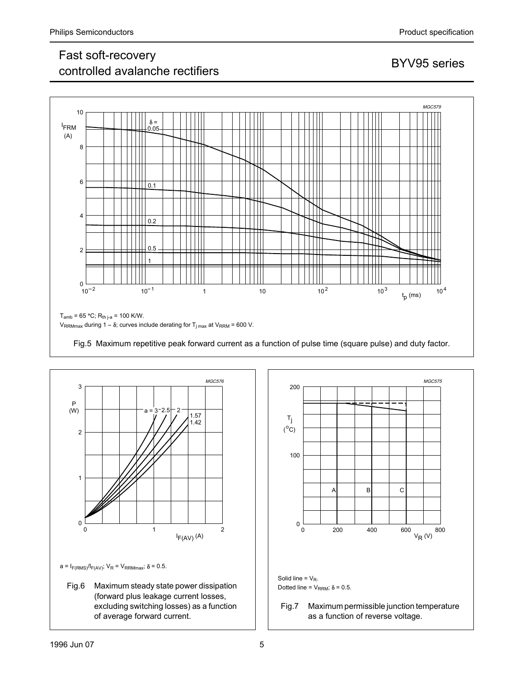# Philips Semiconductors<br>
Fast soft-recovery<br>
controlled avalanche rectifiers<br>
Product specification<br>
BYV95 series Fast soft-recovery r det son recovery<br>controlled avalanche rectifiers and the series BYV95 series





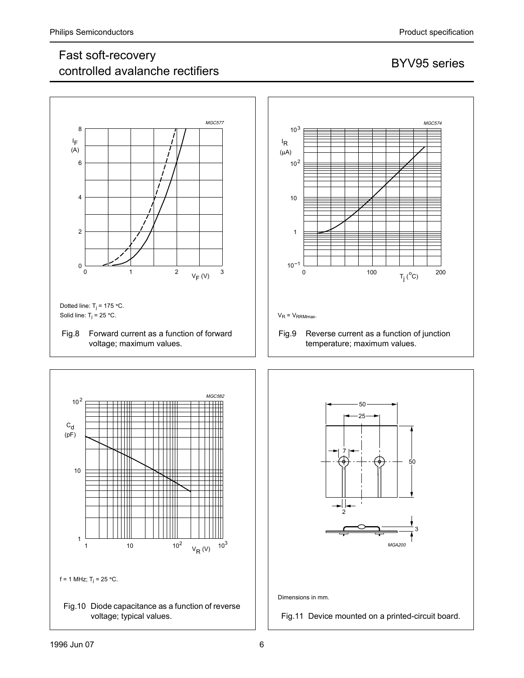# Philips Semiconductors<br>
Fast soft-recovery<br>
controlled avalanche rectifiers<br>
Product specification<br>
BYV95 series Fast soft-recovery r ast son-recovery<br>controlled avalanche rectifiers and the source of BYV95 series









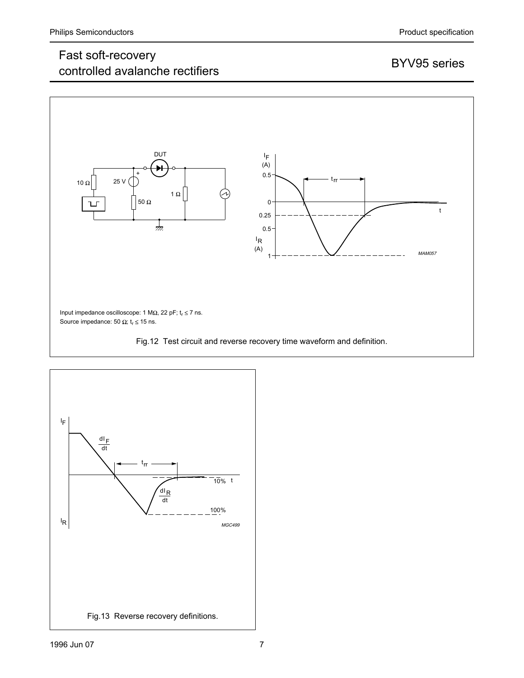## Fast soft-recovery r ast soft-recovery<br>controlled avalanche rectifiers and the series BYV95 series